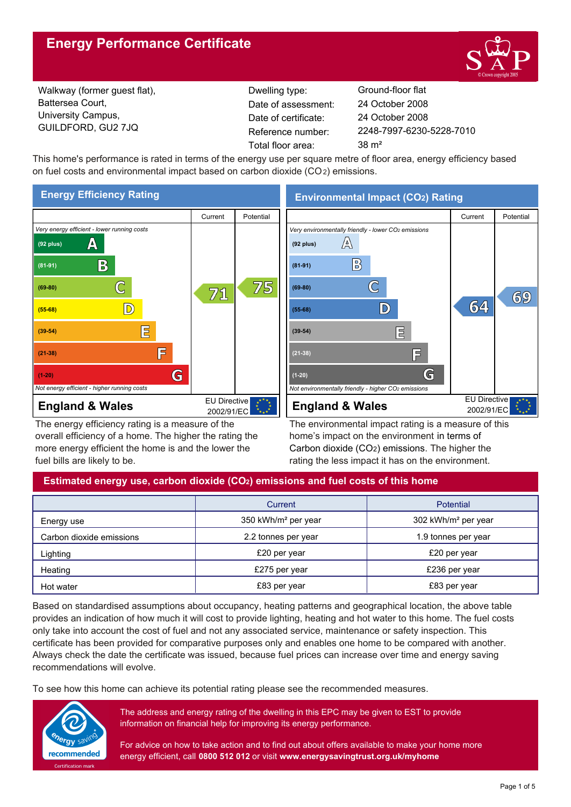# **Energy Performance Certificate**



Walkway (former guest flat), Battersea Court, University Campus, GUILDFORD, GU2 7JQ

Dwelling type: Ground-floor flat Date of certificate: Total floor area: 38 m<sup>2</sup> Date of assessment:

2248-7997-6230-5228-7010 24 October 2008 24 October 2008

This home's performance is rated in terms of the energy use per square metre of floor area, energy efficiency based on fuel costs and environmental impact based on carbon dioxide (CO2) emissions.



The energy efficiency rating is a measure of the overall efficiency of a home. The higher the rating the more energy efficient the home is and the lower the fuel bills are likely to be.

**Environmental Impact (CO2) Rating**



The environmental impact rating is a measure of this home's impact on the environment in terms of Carbon dioxide (CO2) emissions. The higher the rating the less impact it has on the environment.

# **Estimated energy use, carbon dioxide (CO2) emissions and fuel costs of this home**

|                          | Current                         | <b>Potential</b>                |
|--------------------------|---------------------------------|---------------------------------|
| Energy use               | 350 kWh/m <sup>2</sup> per year | 302 kWh/m <sup>2</sup> per year |
| Carbon dioxide emissions | 2.2 tonnes per year             | 1.9 tonnes per year             |
| Lighting                 | £20 per year                    | £20 per year                    |
| Heating                  | £275 per year                   | £236 per year                   |
| Hot water                | £83 per year                    | £83 per year                    |

Based on standardised assumptions about occupancy, heating patterns and geographical location, the above table provides an indication of how much it will cost to provide lighting, heating and hot water to this home. The fuel costs only take into account the cost of fuel and not any associated service, maintenance or safety inspection. This certificate has been provided for comparative purposes only and enables one home to be compared with another. Always check the date the certificate was issued, because fuel prices can increase over time and energy saving recommendations will evolve.

To see how this home can achieve its potential rating please see the recommended measures.



The address and energy rating of the dwelling in this EPC may be given to EST to provide information on financial help for improving its energy performance.

For advice on how to take action and to find out about offers available to make your home more energy efficient, call **0800 512 012** or visit **www.energysavingtrust.org.uk/myhome**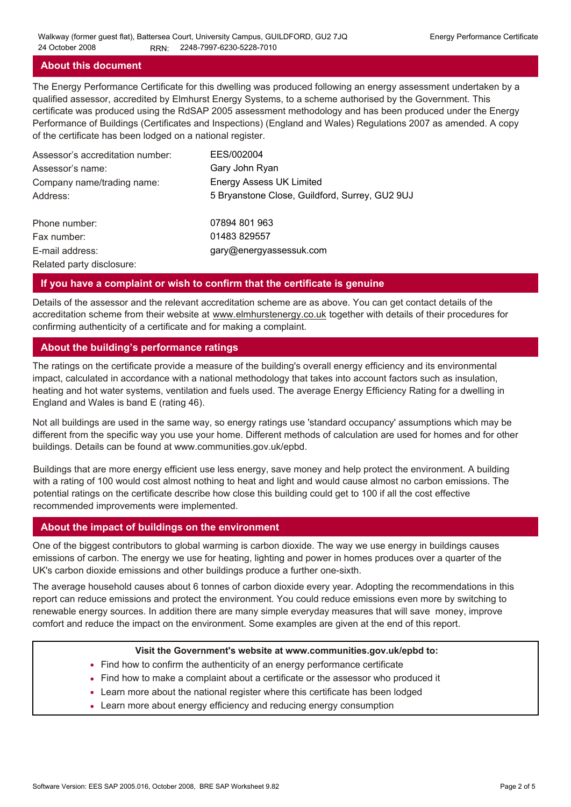#### **About this document**

The Energy Performance Certificate for this dwelling was produced following an energy assessment undertaken by a qualified assessor, accredited by Elmhurst Energy Systems, to a scheme authorised by the Government. This certificate was produced using the RdSAP 2005 assessment methodology and has been produced under the Energy Performance of Buildings (Certificates and Inspections) (England and Wales) Regulations 2007 as amended. A copy of the certificate has been lodged on a national register.

| Assessor's accreditation number: | EES/002004                                     |
|----------------------------------|------------------------------------------------|
| Assessor's name:                 | Gary John Ryan                                 |
| Company name/trading name:       | <b>Energy Assess UK Limited</b>                |
| Address:                         | 5 Bryanstone Close, Guildford, Surrey, GU2 9UJ |
| Phone number:                    | 07894 801 963                                  |
| Fax number:                      | 01483 829557                                   |
| E-mail address:                  | gary@energyassessuk.com                        |
| Related party disclosure:        |                                                |

#### **If you have a complaint or wish to confirm that the certificate is genuine**

Details of the assessor and the relevant accreditation scheme are as above. You can get contact details of the accreditation scheme from their website at www.elmhurstenergy.co.uk together with details of their procedures for confirming authenticity of a certificate and for making a complaint.

### **About the building's performance ratings**

The ratings on the certificate provide a measure of the building's overall energy efficiency and its environmental impact, calculated in accordance with a national methodology that takes into account factors such as insulation, heating and hot water systems, ventilation and fuels used. The average Energy Efficiency Rating for a dwelling in England and Wales is band E (rating 46).

Not all buildings are used in the same way, so energy ratings use 'standard occupancy' assumptions which may be different from the specific way you use your home. Different methods of calculation are used for homes and for other buildings. Details can be found at www.communities.gov.uk/epbd.

Buildings that are more energy efficient use less energy, save money and help protect the environment. A building with a rating of 100 would cost almost nothing to heat and light and would cause almost no carbon emissions. The potential ratings on the certificate describe how close this building could get to 100 if all the cost effective recommended improvements were implemented.

### **About the impact of buildings on the environment**

One of the biggest contributors to global warming is carbon dioxide. The way we use energy in buildings causes emissions of carbon. The energy we use for heating, lighting and power in homes produces over a quarter of the UK's carbon dioxide emissions and other buildings produce a further one-sixth.

The average household causes about 6 tonnes of carbon dioxide every year. Adopting the recommendations in this report can reduce emissions and protect the environment. You could reduce emissions even more by switching to renewable energy sources. In addition there are many simple everyday measures that will save money, improve comfort and reduce the impact on the environment. Some examples are given at the end of this report.

#### **Visit the Government's website at www.communities.gov.uk/epbd to:**

- Find how to confirm the authenticity of an energy performance certificate
- Find how to make a complaint about a certificate or the assessor who produced it •
- Learn more about the national register where this certificate has been lodged •
- Learn more about energy efficiency and reducing energy consumption •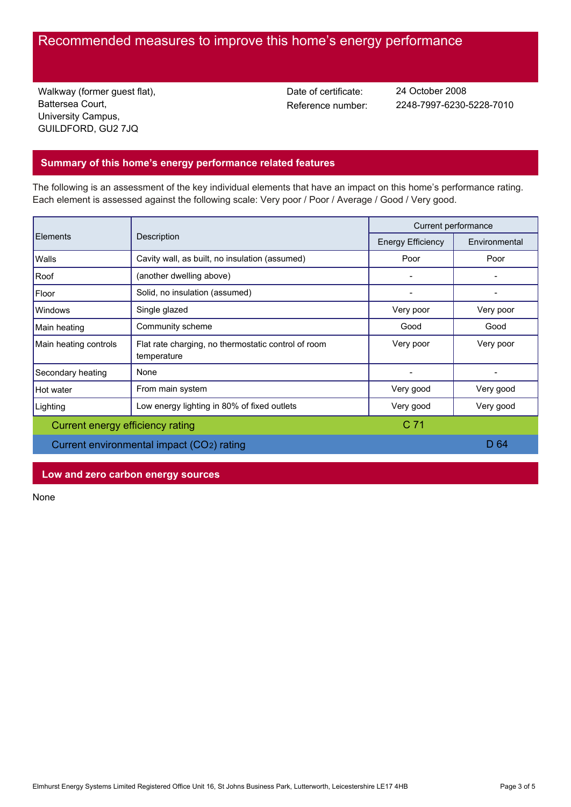# Recommended measures to improve this home's energy performance

Walkway (former guest flat), Battersea Court, University Campus, GUILDFORD, GU2 7JQ

Date of certificate:

Reference number: 2248-7997-6230-5228-7010 24 October 2008

## **Summary of this home's energy performance related features**

The following is an assessment of the key individual elements that have an impact on this home's performance rating. Each element is assessed against the following scale: Very poor / Poor / Average / Good / Very good.

| Description<br>Elements                   |                                                                    | Current performance      |               |
|-------------------------------------------|--------------------------------------------------------------------|--------------------------|---------------|
|                                           |                                                                    | <b>Energy Efficiency</b> | Environmental |
| Walls                                     | Cavity wall, as built, no insulation (assumed)                     | Poor                     | Poor          |
| Roof                                      | (another dwelling above)                                           |                          |               |
| Floor                                     | Solid, no insulation (assumed)                                     |                          |               |
| <b>Windows</b>                            | Single glazed                                                      | Very poor                | Very poor     |
| Main heating                              | Community scheme                                                   | Good                     | Good          |
| Main heating controls                     | Flat rate charging, no thermostatic control of room<br>temperature | Very poor                | Very poor     |
| Secondary heating                         | None                                                               |                          |               |
| Hot water                                 | From main system                                                   | Very good                | Very good     |
| Lighting                                  | Low energy lighting in 80% of fixed outlets                        | Very good                | Very good     |
| Current energy efficiency rating          |                                                                    | C <sub>71</sub>          |               |
| Current environmental impact (CO2) rating |                                                                    |                          | D 64          |

## **Low and zero carbon energy sources**

None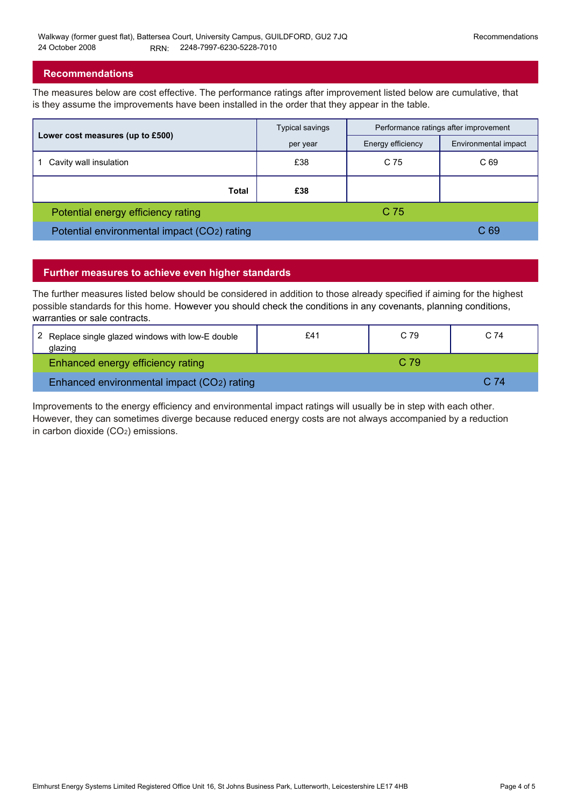#### **Recommendations**

The measures below are cost effective. The performance ratings after improvement listed below are cumulative, that is they assume the improvements have been installed in the order that they appear in the table.

|                                             | <b>Typical savings</b> | Performance ratings after improvement |                      |
|---------------------------------------------|------------------------|---------------------------------------|----------------------|
| Lower cost measures (up to £500)            | per year               | Energy efficiency                     | Environmental impact |
| Cavity wall insulation                      | £38                    | C 75                                  | C 69                 |
| Total                                       | £38                    |                                       |                      |
| Potential energy efficiency rating          |                        | C 75                                  |                      |
| Potential environmental impact (CO2) rating |                        |                                       | C 69                 |

## **Further measures to achieve even higher standards**

The further measures listed below should be considered in addition to those already specified if aiming for the highest possible standards for this home. However you should check the conditions in any covenants, planning conditions, warranties or sale contracts.

| 2 Replace single glazed windows with low-E double<br>qlazinq | f4 <sup>1</sup> | C 79 | C.74  |
|--------------------------------------------------------------|-----------------|------|-------|
| Enhanced energy efficiency rating                            |                 | C.79 |       |
| Enhanced environmental impact (CO2) rating                   |                 |      | C. 74 |

Improvements to the energy efficiency and environmental impact ratings will usually be in step with each other. However, they can sometimes diverge because reduced energy costs are not always accompanied by a reduction in carbon dioxide (CO2) emissions.